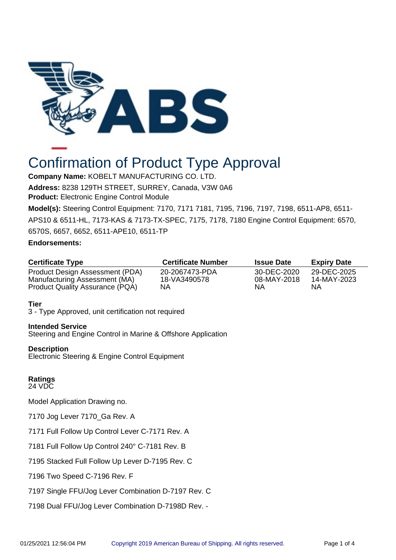

# Confirmation of Product Type Approval

**Company Name:** KOBELT MANUFACTURING CO. LTD. **Address:** 8238 129TH STREET, SURREY, Canada, V3W 0A6 **Product:** Electronic Engine Control Module

**Model(s):** Steering Control Equipment: 7170, 7171 7181, 7195, 7196, 7197, 7198, 6511-AP8, 6511-

APS10 & 6511-HL, 7173-KAS & 7173-TX-SPEC, 7175, 7178, 7180 Engine Control Equipment: 6570, 6570S, 6657, 6652, 6511-APE10, 6511-TP

# **Endorsements:**

| <b>Certificate Type</b>                                          | <b>Certificate Number</b> | <b>Issue Date</b> | <b>Expiry Date</b> |
|------------------------------------------------------------------|---------------------------|-------------------|--------------------|
| Product Design Assessment (PDA)                                  | 20-2067473-PDA            | 30-DEC-2020       | 29-DEC-2025        |
| Manufacturing Assessment (MA)<br>Product Quality Assurance (PQA) | 18-VA3490578<br>NA        | 08-MAY-2018<br>ΝA | 14-MAY-2023<br>ΝA  |

# **Tier**

3 - Type Approved, unit certification not required

# **Intended Service**

Steering and Engine Control in Marine & Offshore Application

### **Description**

Electronic Steering & Engine Control Equipment

#### **Ratings** 24 VDC

Model Application Drawing no.

7170 Jog Lever 7170\_Ga Rev. A

7171 Full Follow Up Control Lever C-7171 Rev. A

7181 Full Follow Up Control 240° C-7181 Rev. B

7195 Stacked Full Follow Up Lever D-7195 Rev. C

7196 Two Speed C-7196 Rev. F

7197 Single FFU/Jog Lever Combination D-7197 Rev. C

7198 Dual FFU/Jog Lever Combination D-7198D Rev. -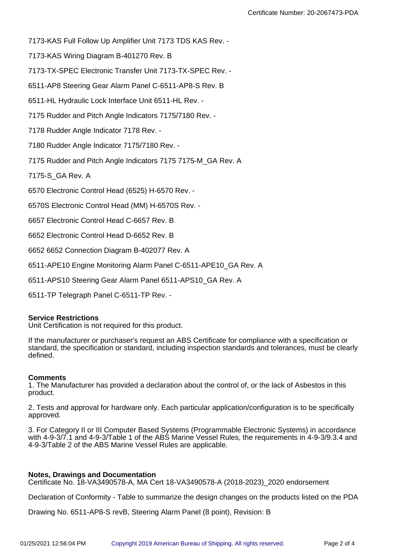7173-KAS Full Follow Up Amplifier Unit 7173 TDS KAS Rev. -

7173-KAS Wiring Diagram B-401270 Rev. B

7173-TX-SPEC Electronic Transfer Unit 7173-TX-SPEC Rev. -

6511-AP8 Steering Gear Alarm Panel C-6511-AP8-S Rev. B

6511-HL Hydraulic Lock Interface Unit 6511-HL Rev. -

7175 Rudder and Pitch Angle Indicators 7175/7180 Rev. -

7178 Rudder Angle Indicator 7178 Rev. -

7180 Rudder Angle Indicator 7175/7180 Rev. -

7175 Rudder and Pitch Angle Indicators 7175 7175-M\_GA Rev. A

7175-S\_GA Rev. A

6570 Electronic Control Head (6525) H-6570 Rev. -

6570S Electronic Control Head (MM) H-6570S Rev. -

6657 Electronic Control Head C-6657 Rev. B

6652 Electronic Control Head D-6652 Rev. B

6652 6652 Connection Diagram B-402077 Rev. A

6511-APE10 Engine Monitoring Alarm Panel C-6511-APE10\_GA Rev. A

6511-APS10 Steering Gear Alarm Panel 6511-APS10\_GA Rev. A

6511-TP Telegraph Panel C-6511-TP Rev. -

### **Service Restrictions**

Unit Certification is not required for this product.

If the manufacturer or purchaser's request an ABS Certificate for compliance with a specification or standard, the specification or standard, including inspection standards and tolerances, must be clearly defined.

#### **Comments**

1. The Manufacturer has provided a declaration about the control of, or the lack of Asbestos in this product.

2. Tests and approval for hardware only. Each particular application/configuration is to be specifically approved.

3. For Category II or III Computer Based Systems (Programmable Electronic Systems) in accordance with 4-9-3/7.1 and 4-9-3/Table 1 of the ABS Marine Vessel Rules, the requirements in 4-9-3/9.3.4 and 4-9-3/Table 2 of the ABS Marine Vessel Rules are applicable.

### **Notes, Drawings and Documentation**

Certificate No. 18-VA3490578-A, MA Cert 18-VA3490578-A (2018-2023)\_2020 endorsement

Declaration of Conformity - Table to summarize the design changes on the products listed on the PDA

Drawing No. 6511-AP8-S revB, Steering Alarm Panel (8 point), Revision: B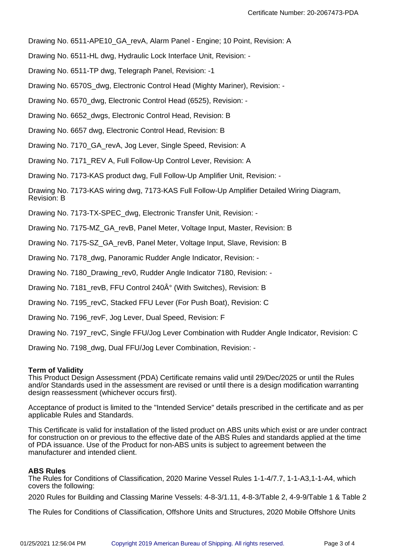Drawing No. 6511-APE10\_GA\_revA, Alarm Panel - Engine; 10 Point, Revision: A

Drawing No. 6511-HL dwg, Hydraulic Lock Interface Unit, Revision: -

Drawing No. 6511-TP dwg, Telegraph Panel, Revision: -1

Drawing No. 6570S\_dwg, Electronic Control Head (Mighty Mariner), Revision: -

Drawing No. 6570\_dwg, Electronic Control Head (6525), Revision: -

Drawing No. 6652\_dwgs, Electronic Control Head, Revision: B

Drawing No. 6657 dwg, Electronic Control Head, Revision: B

Drawing No. 7170\_GA\_revA, Jog Lever, Single Speed, Revision: A

Drawing No. 7171\_REV A, Full Follow-Up Control Lever, Revision: A

Drawing No. 7173-KAS product dwg, Full Follow-Up Amplifier Unit, Revision: -

Drawing No. 7173-KAS wiring dwg, 7173-KAS Full Follow-Up Amplifier Detailed Wiring Diagram, Revision: B

Drawing No. 7173-TX-SPEC\_dwg, Electronic Transfer Unit, Revision: -

Drawing No. 7175-MZ\_GA\_revB, Panel Meter, Voltage Input, Master, Revision: B

Drawing No. 7175-SZ\_GA\_revB, Panel Meter, Voltage Input, Slave, Revision: B

Drawing No. 7178\_dwg, Panoramic Rudder Angle Indicator, Revision: -

Drawing No. 7180 Drawing rev0, Rudder Angle Indicator 7180, Revision: -

Drawing No. 7181 revB, FFU Control 240 $\hat{A}^{\circ}$  (With Switches), Revision: B

Drawing No. 7195\_revC, Stacked FFU Lever (For Push Boat), Revision: C

Drawing No. 7196\_revF, Jog Lever, Dual Speed, Revision: F

Drawing No. 7197\_revC, Single FFU/Jog Lever Combination with Rudder Angle Indicator, Revision: C

Drawing No. 7198 dwg, Dual FFU/Jog Lever Combination, Revision: -

### **Term of Validity**

This Product Design Assessment (PDA) Certificate remains valid until 29/Dec/2025 or until the Rules and/or Standards used in the assessment are revised or until there is a design modification warranting design reassessment (whichever occurs first).

Acceptance of product is limited to the "Intended Service" details prescribed in the certificate and as per applicable Rules and Standards.

This Certificate is valid for installation of the listed product on ABS units which exist or are under contract for construction on or previous to the effective date of the ABS Rules and standards applied at the time of PDA issuance. Use of the Product for non-ABS units is subject to agreement between the manufacturer and intended client.

### **ABS Rules**

The Rules for Conditions of Classification, 2020 Marine Vessel Rules 1-1-4/7.7, 1-1-A3,1-1-A4, which covers the following:

2020 Rules for Building and Classing Marine Vessels: 4-8-3/1.11, 4-8-3/Table 2, 4-9-9/Table 1 & Table 2

The Rules for Conditions of Classification, Offshore Units and Structures, 2020 Mobile Offshore Units